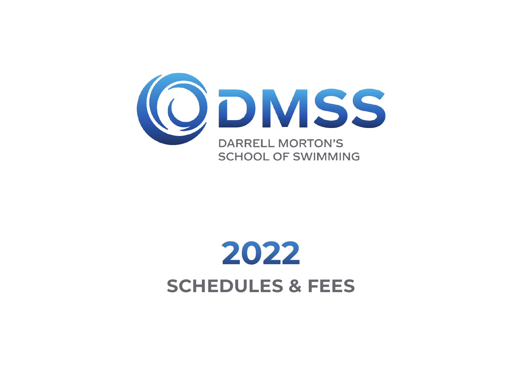

# 2022 **SCHEDULES & FEES**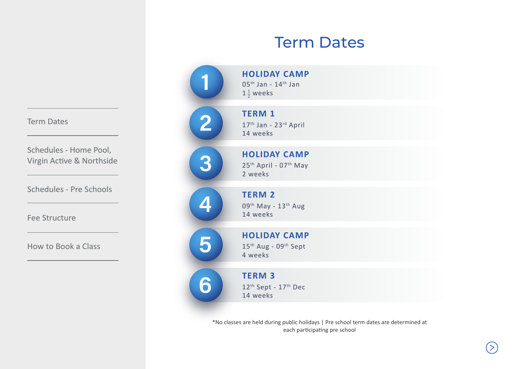# Term Dates

|                         | <b>HOLIDAY CAMP</b><br>$05th$ Jan - $14th$ Jan<br>$1\frac{1}{2}$ weeks          |  |
|-------------------------|---------------------------------------------------------------------------------|--|
| $\overline{\mathbf{2}}$ | <b>TERM 1</b><br>17 <sup>th</sup> Jan - 23rd April<br>14 weeks                  |  |
| 3                       | <b>HOLIDAY CAMP</b><br>25 <sup>th</sup> April - 07 <sup>th</sup> May<br>2 weeks |  |
|                         | <b>TERM 2</b><br>09 <sup>th</sup> May - 13 <sup>th</sup> Aug<br>14 weeks        |  |
| 5                       | <b>HOLIDAY CAMP</b><br>15 <sup>th</sup> Aug - 09 <sup>th</sup> Sept<br>4 weeks  |  |
| À                       | <b>TERM 3</b><br>12 <sup>th</sup> Sept - 17 <sup>th</sup> Dec<br>14 weeks       |  |

\*No classes are held during public holidays | Pre school term dates are determined at each participating pre school

#### <span id="page-1-0"></span>Term Dates

Schedules - Home Pool, Virgin Active & Northside

[Schedules - Pre Schools](#page-3-0)

[Fee Structure](#page-4-0)

[How to Book a Class](#page-5-0)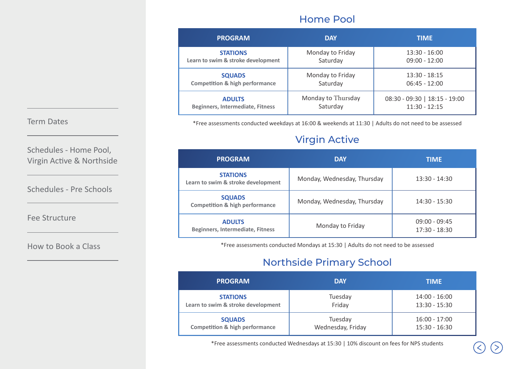#### Home Pool

| <b>PROGRAM</b>                            | <b>DAY</b>         | <b>TIME</b>                   |  |
|-------------------------------------------|--------------------|-------------------------------|--|
| <b>STATIONS</b>                           | Monday to Friday   | $13:30 - 16:00$               |  |
| Learn to swim & stroke development        | Saturday           | $09:00 - 12:00$               |  |
| <b>SQUADS</b>                             | Monday to Friday   | $13:30 - 18:15$               |  |
| <b>Competition &amp; high performance</b> | Saturday           | $06:45 - 12:00$               |  |
| <b>ADULTS</b>                             | Monday to Thursday | 08:30 - 09:30   18:15 - 19:00 |  |
| Beginners, Intermediate, Fitness          | Saturday           | $11:30 - 12:15$               |  |

\*Free assessments conducted weekdays at 16:00 & weekends at 11:30 | Adults do not need to be assessed

## Virgin Active

| <b>PROGRAM</b>                                             | <b>DAY</b>                  | <b>TIME</b>                        |  |
|------------------------------------------------------------|-----------------------------|------------------------------------|--|
| <b>STATIONS</b><br>Learn to swim & stroke development      | Monday, Wednesday, Thursday | $13:30 - 14:30$                    |  |
| <b>SQUADS</b><br><b>Competition &amp; high performance</b> | Monday, Wednesday, Thursday | $14:30 - 15:30$                    |  |
| <b>ADULTS</b><br>Beginners, Intermediate, Fitness          | Monday to Friday            | $09:00 - 09:45$<br>$17:30 - 18:30$ |  |

\*Free assessments conducted Mondays at 15:30 | Adults do not need to be assessed

### Northside Primary School

| <b>PROGRAM</b>                            | <b>DAY</b>        | <b>TIME</b>     |  |
|-------------------------------------------|-------------------|-----------------|--|
| <b>STATIONS</b>                           | Tuesday           | $14:00 - 16:00$ |  |
| Learn to swim & stroke development        | Friday            | $13:30 - 15:30$ |  |
| <b>SQUADS</b>                             | Tuesday           | $16:00 - 17:00$ |  |
| <b>Competition &amp; high performance</b> | Wednesday, Friday | $15:30 - 16:30$ |  |

\*Free assessments conducted Wednesdays at 15:30 | 10% discount on fees for NPS students

#### <span id="page-2-0"></span>[Term Dates](#page-1-0)

Schedules - Home Pool, Virgin Active & Northside

[Schedules - Pre Schools](#page-3-0)

[Fee Structure](#page-4-0)

[How to Book a Class](#page-5-0)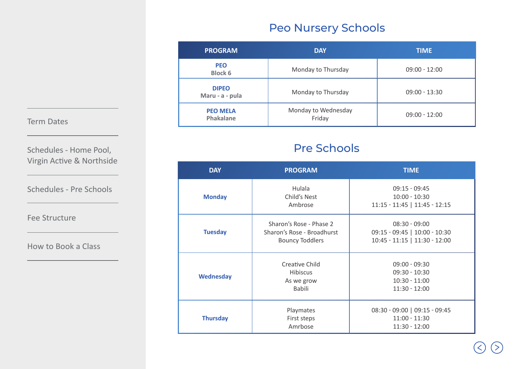## Peo Nursery Schools

| <b>PROGRAM</b>                  | <b>DAY</b>                    | <b>TIME</b>     |
|---------------------------------|-------------------------------|-----------------|
| <b>PEO</b><br><b>Block 6</b>    | Monday to Thursday            | $09:00 - 12:00$ |
| <b>DIPEO</b><br>Maru - a - pula | Monday to Thursday            | $09:00 - 13:30$ |
| <b>PEO MELA</b><br>Phakalane    | Monday to Wednesday<br>Friday | $09:00 - 12:00$ |

## Pre Schools

| <b>DAY</b>       | <b>PROGRAM</b><br><b>TIME</b>                                                   |                                                                                   |  |
|------------------|---------------------------------------------------------------------------------|-----------------------------------------------------------------------------------|--|
| <b>Monday</b>    | <b>Hulala</b><br>Child's Nest<br>Ambrose                                        | $09:15 - 09:45$<br>$10:00 - 10:30$<br>11:15 - 11:45   11:45 - 12:15               |  |
| <b>Tuesday</b>   | Sharon's Rose - Phase 2<br>Sharon's Rose - Broadhurst<br><b>Bouncy Toddlers</b> | $08:30 - 09:00$<br>09:15 - 09:45   10:00 - 10:30<br>10:45 - 11:15   11:30 - 12:00 |  |
| <b>Wednesday</b> | Creative Child<br><b>Hibiscus</b><br>As we grow<br><b>Babili</b>                | $09:00 - 09:30$<br>$09:30 - 10:30$<br>$10:30 - 11:00$<br>$11:30 - 12:00$          |  |
| <b>Thursday</b>  | Playmates<br>First steps<br>Amrbose                                             | 08:30 - 09:00   09:15 - 09:45<br>$11:00 - 11:30$<br>$11:30 - 12:00$               |  |

#### <span id="page-3-0"></span>[Term Dates](#page-1-0)

Schedules - Home Pool, Virgin Active & Northside

Schedules - Pre Schools

[Fee Structure](#page-4-0)

[How to Book a Class](#page-5-0)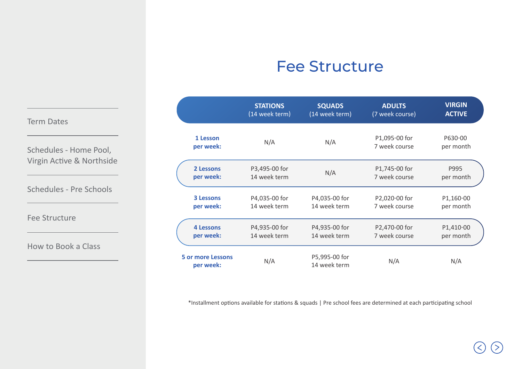## Fee Structure

<span id="page-4-0"></span>

|                           |                          | <b>STATIONS</b><br>(14 week term) | <b>SQUADS</b><br>(14 week term) | <b>ADULTS</b><br>(7 week course) | <b>VIRGIN</b><br><b>ACTIVE</b> |
|---------------------------|--------------------------|-----------------------------------|---------------------------------|----------------------------------|--------------------------------|
| <b>Term Dates</b>         |                          |                                   |                                 |                                  |                                |
| Schedules - Home Pool,    | 1 Lesson<br>per week:    | N/A                               | N/A                             | P1,095-00 for<br>7 week course   | P630-00<br>per month           |
| Virgin Active & Northside | 2 Lessons                | P3,495-00 for                     |                                 | P1,745-00 for                    | P995                           |
|                           | per week:                | 14 week term                      | N/A                             | 7 week course                    | per month                      |
|                           |                          |                                   |                                 |                                  |                                |
|                           | 3 Lessons                | P4,035-00 for                     | P4,035-00 for                   | P2,020-00 for                    | P1,160-00                      |
|                           | per week:                | 14 week term                      | 14 week term                    | 7 week course                    | per month                      |
|                           |                          |                                   |                                 |                                  |                                |
|                           | <b>4 Lessons</b>         | P4,935-00 for                     | P4,935-00 for                   | P2,470-00 for                    | P1,410-00                      |
|                           | per week:                | 14 week term                      | 14 week term                    | 7 week course                    | per month                      |
|                           | <b>5 or more Lessons</b> |                                   |                                 |                                  |                                |
|                           | per week:                | N/A                               | P5,995-00 for<br>14 week term   | N/A                              | N/A                            |

\*Installment options available for stations & squads | Pre school fees are determined at each participating school